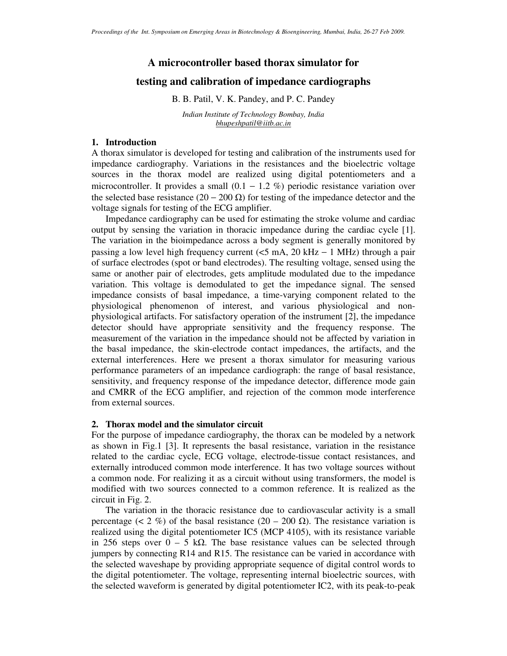# **A microcontroller based thorax simulator for**

# **testing and calibration of impedance cardiographs**

B. B. Patil, V. K. Pandey, and P. C. Pandey

*Indian Institute of Technology Bombay, India bhupeshpatil@iitb.ac.in*

### **1. Introduction**

A thorax simulator is developed for testing and calibration of the instruments used for impedance cardiography. Variations in the resistances and the bioelectric voltage sources in the thorax model are realized using digital potentiometers and a microcontroller. It provides a small  $(0.1 - 1.2 \%)$  periodic resistance variation over the selected base resistance (20 – 200  $\Omega$ ) for testing of the impedance detector and the voltage signals for testing of the ECG amplifier.

 Impedance cardiography can be used for estimating the stroke volume and cardiac output by sensing the variation in thoracic impedance during the cardiac cycle [1]. The variation in the bioimpedance across a body segment is generally monitored by passing a low level high frequency current ( $\leq$ 5 mA, 20 kHz – 1 MHz) through a pair of surface electrodes (spot or band electrodes). The resulting voltage, sensed using the same or another pair of electrodes, gets amplitude modulated due to the impedance variation. This voltage is demodulated to get the impedance signal. The sensed impedance consists of basal impedance, a time-varying component related to the physiological phenomenon of interest, and various physiological and nonphysiological artifacts. For satisfactory operation of the instrument [2], the impedance detector should have appropriate sensitivity and the frequency response. The measurement of the variation in the impedance should not be affected by variation in the basal impedance, the skin-electrode contact impedances, the artifacts, and the external interferences. Here we present a thorax simulator for measuring various performance parameters of an impedance cardiograph: the range of basal resistance, sensitivity, and frequency response of the impedance detector, difference mode gain and CMRR of the ECG amplifier, and rejection of the common mode interference from external sources.

### **2. Thorax model and the simulator circuit**

For the purpose of impedance cardiography, the thorax can be modeled by a network as shown in Fig.1 [3]. It represents the basal resistance, variation in the resistance related to the cardiac cycle, ECG voltage, electrode-tissue contact resistances, and externally introduced common mode interference. It has two voltage sources without a common node. For realizing it as a circuit without using transformers, the model is modified with two sources connected to a common reference. It is realized as the circuit in Fig. 2.

 The variation in the thoracic resistance due to cardiovascular activity is a small percentage (< 2 %) of the basal resistance (20 – 200  $\Omega$ ). The resistance variation is realized using the digital potentiometer IC5 (MCP 4105), with its resistance variable in 256 steps over  $0 - 5$  kΩ. The base resistance values can be selected through jumpers by connecting R14 and R15. The resistance can be varied in accordance with the selected waveshape by providing appropriate sequence of digital control words to the digital potentiometer. The voltage, representing internal bioelectric sources, with the selected waveform is generated by digital potentiometer IC2, with its peak-to-peak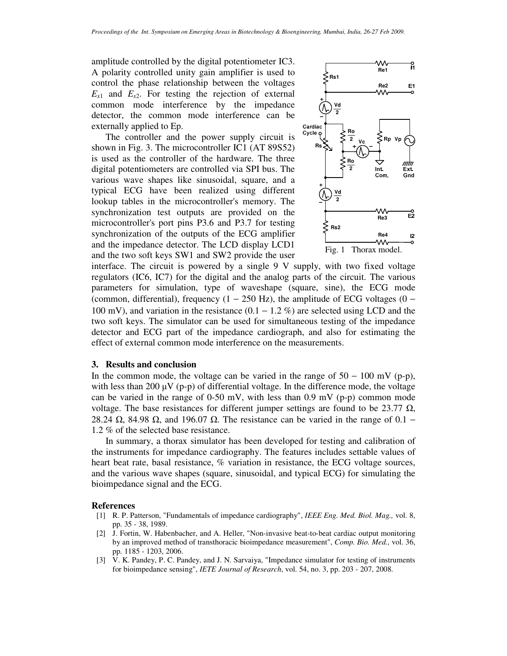amplitude controlled by the digital potentiometer IC3. A polarity controlled unity gain amplifier is used to control the phase relationship between the voltages  $E_{x1}$  and  $E_{x2}$ . For testing the rejection of external common mode interference by the impedance detector, the common mode interference can be externally applied to Ep.

 The controller and the power supply circuit is shown in Fig. 3. The microcontroller IC1 (AT 89S52) is used as the controller of the hardware. The three digital potentiometers are controlled via SPI bus. The various wave shapes like sinusoidal, square, and a typical ECG have been realized using different lookup tables in the microcontroller's memory. The synchronization test outputs are provided on the microcontroller's port pins P3.6 and P3.7 for testing synchronization of the outputs of the ECG amplifier and the impedance detector. The LCD display LCD1 and the two soft keys SW1 and SW2 provide the user



interface. The circuit is powered by a single 9 V supply, with two fixed voltage regulators (IC6, IC7) for the digital and the analog parts of the circuit. The various parameters for simulation, type of waveshape (square, sine), the ECG mode (common, differential), frequency (1 − 250 Hz), the amplitude of ECG voltages (0 – 100 mV), and variation in the resistance (0.1 − 1.2 %) are selected using LCD and the two soft keys. The simulator can be used for simultaneous testing of the impedance detector and ECG part of the impedance cardiograph, and also for estimating the effect of external common mode interference on the measurements.

#### **3. Results and conclusion**

In the common mode, the voltage can be varied in the range of  $50 - 100$  mV (p-p), with less than 200  $\mu$ V (p-p) of differential voltage. In the difference mode, the voltage can be varied in the range of 0-50 mV, with less than 0.9 mV (p-p) common mode voltage. The base resistances for different jumper settings are found to be 23.77  $\Omega$ , 28.24  $\Omega$ , 84.98  $\Omega$ , and 196.07  $\Omega$ . The resistance can be varied in the range of 0.1 – 1.2 % of the selected base resistance.

 In summary, a thorax simulator has been developed for testing and calibration of the instruments for impedance cardiography. The features includes settable values of heart beat rate, basal resistance, % variation in resistance, the ECG voltage sources, and the various wave shapes (square, sinusoidal, and typical ECG) for simulating the bioimpedance signal and the ECG.

#### **References**

- [1] R. P. Patterson, "Fundamentals of impedance cardiography", *IEEE Eng. Med. Biol. Mag.,* vol. 8, pp. 35 - 38, 1989.
- [2] J. Fortin, W. Habenbacher, and A. Heller, "Non-invasive beat-to-beat cardiac output monitoring by an improved method of transthoracic bioimpedance measurement", *Comp. Bio. Med.,* vol. 36, pp. 1185 - 1203, 2006.
- [3] V. K. Pandey, P. C. Pandey, and J. N. Sarvaiya, "Impedance simulator for testing of instruments for bioimpedance sensing", *IETE Journal of Research*, vol. 54, no. 3, pp. 203 - 207, 2008.